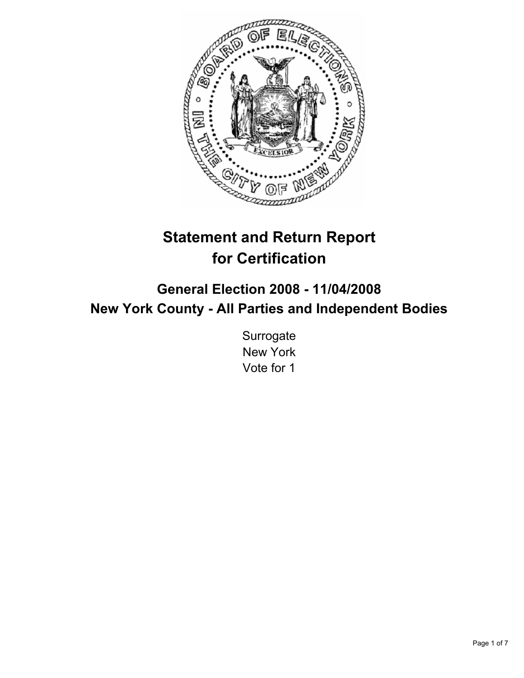

# **Statement and Return Report for Certification**

# **General Election 2008 - 11/04/2008 New York County - All Parties and Independent Bodies**

**Surrogate** New York Vote for 1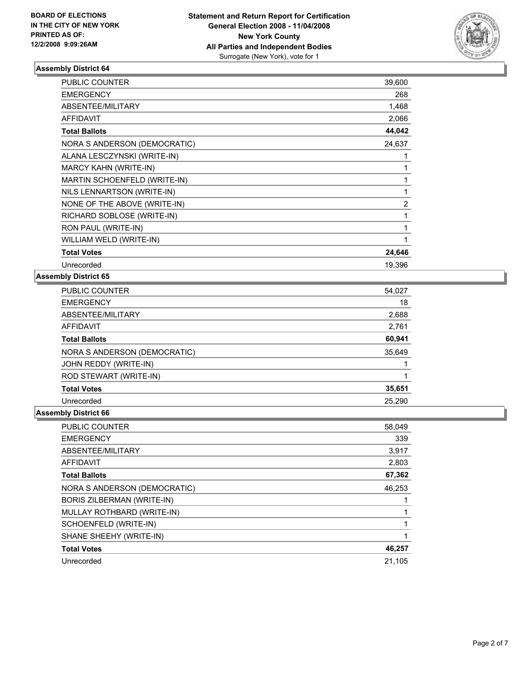

| PUBLIC COUNTER               | 39,600 |  |
|------------------------------|--------|--|
| <b>EMERGENCY</b>             | 268    |  |
| ABSENTEE/MILITARY            | 1,468  |  |
| <b>AFFIDAVIT</b>             | 2,066  |  |
| <b>Total Ballots</b>         | 44,042 |  |
| NORA S ANDERSON (DEMOCRATIC) | 24,637 |  |
| ALANA LESCZYNSKI (WRITE-IN)  |        |  |
| <b>MARCY KAHN (WRITE-IN)</b> |        |  |
| MARTIN SCHOENFELD (WRITE-IN) |        |  |
| NILS LENNARTSON (WRITE-IN)   |        |  |
| NONE OF THE ABOVE (WRITE-IN) | 2      |  |
| RICHARD SOBLOSE (WRITE-IN)   |        |  |
| RON PAUL (WRITE-IN)          |        |  |
| WILLIAM WELD (WRITE-IN)      |        |  |
| <b>Total Votes</b>           | 24,646 |  |
| Unrecorded                   | 19,396 |  |

#### **Assembly District 65**

| 54,027 |
|--------|
| 18     |
| 2,688  |
| 2,761  |
| 60,941 |
| 35,649 |
|        |
|        |
| 35,651 |
| 25,290 |
|        |

| <b>PUBLIC COUNTER</b>        | 58,049 |
|------------------------------|--------|
| <b>EMERGENCY</b>             | 339    |
| ABSENTEE/MILITARY            | 3,917  |
| AFFIDAVIT                    | 2,803  |
| <b>Total Ballots</b>         | 67,362 |
| NORA S ANDERSON (DEMOCRATIC) | 46,253 |
| BORIS ZILBERMAN (WRITE-IN)   |        |
| MULLAY ROTHBARD (WRITE-IN)   |        |
| SCHOENFELD (WRITE-IN)        |        |
| SHANE SHEEHY (WRITE-IN)      |        |
| <b>Total Votes</b>           | 46,257 |
| Unrecorded                   | 21,105 |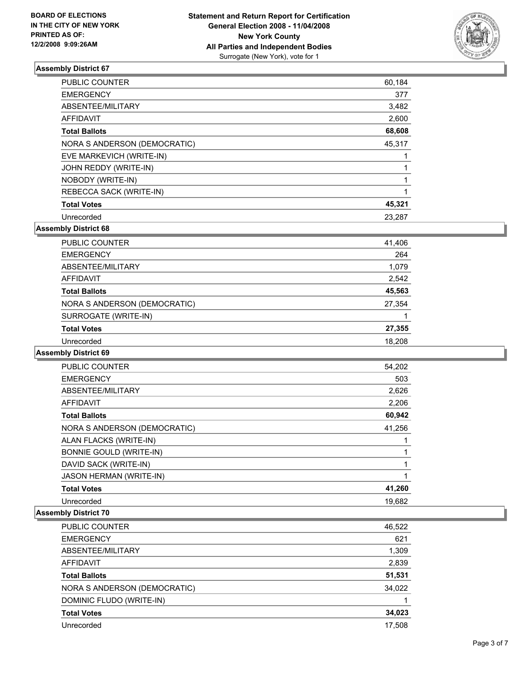

| <b>PUBLIC COUNTER</b>        | 60,184 |
|------------------------------|--------|
| <b>EMERGENCY</b>             | 377    |
| ABSENTEE/MILITARY            | 3,482  |
| <b>AFFIDAVIT</b>             | 2,600  |
| <b>Total Ballots</b>         | 68,608 |
| NORA S ANDERSON (DEMOCRATIC) | 45,317 |
| EVE MARKEVICH (WRITE-IN)     |        |
| JOHN REDDY (WRITE-IN)        |        |
| NOBODY (WRITE-IN)            |        |
| REBECCA SACK (WRITE-IN)      |        |
| <b>Total Votes</b>           | 45,321 |
| Unrecorded                   | 23,287 |

**Assembly District 68**

| <b>PUBLIC COUNTER</b>        | 41,406 |
|------------------------------|--------|
| <b>EMERGENCY</b>             | 264    |
| ABSENTEE/MILITARY            | 1,079  |
| AFFIDAVIT                    | 2,542  |
| <b>Total Ballots</b>         | 45,563 |
| NORA S ANDERSON (DEMOCRATIC) | 27,354 |
| SURROGATE (WRITE-IN)         |        |
| <b>Total Votes</b>           | 27,355 |
| Unrecorded                   | 18,208 |

#### **Assembly District 69**

| <b>PUBLIC COUNTER</b>          | 54,202 |  |
|--------------------------------|--------|--|
| <b>EMERGENCY</b>               | 503    |  |
| ABSENTEE/MILITARY              | 2,626  |  |
| AFFIDAVIT                      | 2,206  |  |
| <b>Total Ballots</b>           | 60,942 |  |
| NORA S ANDERSON (DEMOCRATIC)   | 41,256 |  |
| ALAN FLACKS (WRITE-IN)         |        |  |
| <b>BONNIE GOULD (WRITE-IN)</b> |        |  |
| DAVID SACK (WRITE-IN)          |        |  |
| <b>JASON HERMAN (WRITE-IN)</b> |        |  |
| <b>Total Votes</b>             | 41,260 |  |
| Unrecorded                     | 19.682 |  |

| <b>PUBLIC COUNTER</b>        | 46,522 |
|------------------------------|--------|
| <b>EMERGENCY</b>             | 621    |
| ABSENTEE/MILITARY            | 1,309  |
| <b>AFFIDAVIT</b>             | 2,839  |
| <b>Total Ballots</b>         | 51,531 |
| NORA S ANDERSON (DEMOCRATIC) | 34,022 |
| DOMINIC FLUDO (WRITE-IN)     |        |
| <b>Total Votes</b>           | 34,023 |
| Unrecorded                   | 17,508 |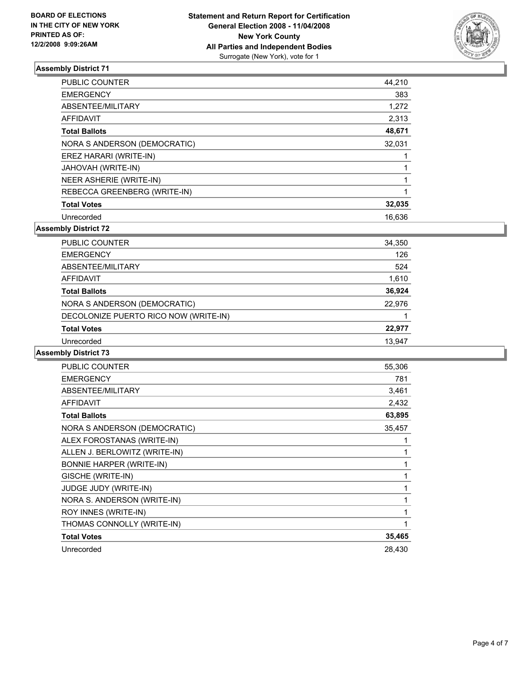

| <b>PUBLIC COUNTER</b>        | 44,210 |
|------------------------------|--------|
| <b>EMERGENCY</b>             | 383    |
| ABSENTEE/MILITARY            | 1,272  |
| <b>AFFIDAVIT</b>             | 2,313  |
| <b>Total Ballots</b>         | 48,671 |
| NORA S ANDERSON (DEMOCRATIC) | 32,031 |
| EREZ HARARI (WRITE-IN)       |        |
| JAHOVAH (WRITE-IN)           |        |
| NEER ASHERIE (WRITE-IN)      |        |
| REBECCA GREENBERG (WRITE-IN) |        |
| <b>Total Votes</b>           | 32,035 |
| Unrecorded                   | 16,636 |

**Assembly District 72**

| PUBLIC COUNTER                        | 34,350 |
|---------------------------------------|--------|
| <b>EMERGENCY</b>                      | 126    |
| ABSENTEE/MILITARY                     | 524    |
| <b>AFFIDAVIT</b>                      | 1,610  |
| <b>Total Ballots</b>                  | 36,924 |
| NORA S ANDERSON (DEMOCRATIC)          | 22,976 |
| DECOLONIZE PUERTO RICO NOW (WRITE-IN) |        |
| <b>Total Votes</b>                    | 22,977 |
| Unrecorded                            | 13,947 |
|                                       |        |

| <b>PUBLIC COUNTER</b>           | 55,306 |
|---------------------------------|--------|
| <b>EMERGENCY</b>                | 781    |
| ABSENTEE/MILITARY               | 3,461  |
| <b>AFFIDAVIT</b>                | 2,432  |
| <b>Total Ballots</b>            | 63,895 |
| NORA S ANDERSON (DEMOCRATIC)    | 35,457 |
| ALEX FOROSTANAS (WRITE-IN)      |        |
| ALLEN J. BERLOWITZ (WRITE-IN)   |        |
| <b>BONNIE HARPER (WRITE-IN)</b> |        |
| GISCHE (WRITE-IN)               |        |
| <b>JUDGE JUDY (WRITE-IN)</b>    |        |
| NORA S. ANDERSON (WRITE-IN)     |        |
| ROY INNES (WRITE-IN)            |        |
| THOMAS CONNOLLY (WRITE-IN)      |        |
| <b>Total Votes</b>              | 35,465 |
| Unrecorded                      | 28,430 |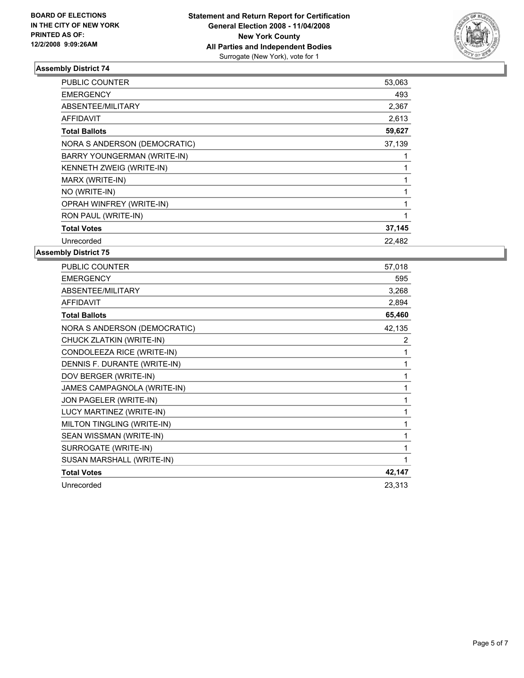

| PUBLIC COUNTER               | 53,063 |
|------------------------------|--------|
| <b>EMERGENCY</b>             | 493    |
| ABSENTEE/MILITARY            | 2,367  |
| AFFIDAVIT                    | 2,613  |
| <b>Total Ballots</b>         | 59,627 |
| NORA S ANDERSON (DEMOCRATIC) | 37,139 |
| BARRY YOUNGERMAN (WRITE-IN)  |        |
| KENNETH ZWEIG (WRITE-IN)     |        |
| MARX (WRITE-IN)              |        |
| NO (WRITE-IN)                |        |
| OPRAH WINFREY (WRITE-IN)     |        |
| RON PAUL (WRITE-IN)          |        |
| <b>Total Votes</b>           | 37,145 |
| Unrecorded                   | 22,482 |
|                              |        |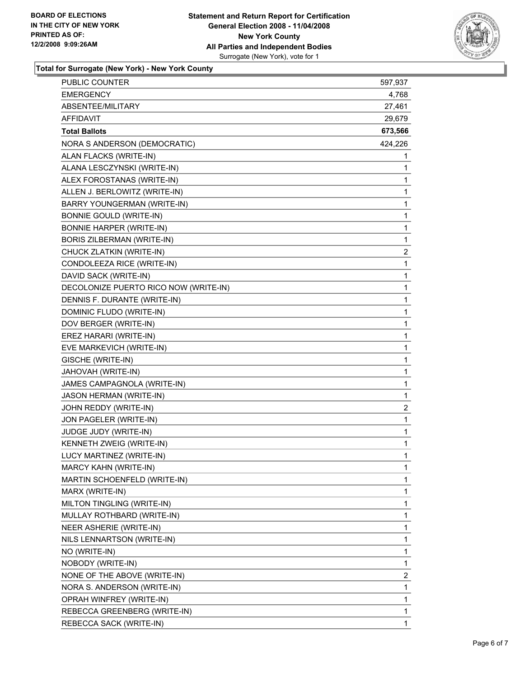

**Total for Surrogate (New York) - New York County**

| <b>EMERGENCY</b><br>4,768<br>ABSENTEE/MILITARY<br>27,461<br><b>AFFIDAVIT</b><br>29,679<br>673,566<br><b>Total Ballots</b><br>424,226<br>NORA S ANDERSON (DEMOCRATIC)<br>ALAN FLACKS (WRITE-IN)<br>1<br>ALANA LESCZYNSKI (WRITE-IN)<br>1<br>1<br>ALEX FOROSTANAS (WRITE-IN)<br>ALLEN J. BERLOWITZ (WRITE-IN)<br>1<br>1<br>BARRY YOUNGERMAN (WRITE-IN)<br>1<br><b>BONNIE GOULD (WRITE-IN)</b><br><b>BONNIE HARPER (WRITE-IN)</b><br>1<br>1<br>BORIS ZILBERMAN (WRITE-IN)<br>$\overline{\mathbf{c}}$<br>CHUCK ZLATKIN (WRITE-IN)<br>CONDOLEEZA RICE (WRITE-IN)<br>$\mathbf{1}$<br>DAVID SACK (WRITE-IN)<br>1<br>DECOLONIZE PUERTO RICO NOW (WRITE-IN)<br>1<br>DENNIS F. DURANTE (WRITE-IN)<br>1<br>DOMINIC FLUDO (WRITE-IN)<br>1<br>1<br>DOV BERGER (WRITE-IN)<br>EREZ HARARI (WRITE-IN)<br>1<br>1<br>EVE MARKEVICH (WRITE-IN)<br>1<br>GISCHE (WRITE-IN)<br>JAHOVAH (WRITE-IN)<br>1<br>JAMES CAMPAGNOLA (WRITE-IN)<br>1<br>1<br>JASON HERMAN (WRITE-IN)<br>$\overline{\mathbf{c}}$<br>JOHN REDDY (WRITE-IN)<br>1<br>JON PAGELER (WRITE-IN)<br>JUDGE JUDY (WRITE-IN)<br>1<br>KENNETH ZWEIG (WRITE-IN)<br>1<br>LUCY MARTINEZ (WRITE-IN)<br>1<br>MARCY KAHN (WRITE-IN)<br>1<br>MARTIN SCHOENFELD (WRITE-IN)<br>1<br>1<br>MARX (WRITE-IN)<br>1<br>MILTON TINGLING (WRITE-IN)<br>MULLAY ROTHBARD (WRITE-IN)<br>1<br>1<br>NEER ASHERIE (WRITE-IN)<br>1<br>NILS LENNARTSON (WRITE-IN)<br>NO (WRITE-IN)<br>1<br>1<br>NOBODY (WRITE-IN)<br>$\overline{\mathbf{c}}$<br>NONE OF THE ABOVE (WRITE-IN)<br>1<br>NORA S. ANDERSON (WRITE-IN)<br>1<br>OPRAH WINFREY (WRITE-IN)<br>1<br>REBECCA GREENBERG (WRITE-IN)<br>1 | <b>PUBLIC COUNTER</b>   | 597,937 |
|-------------------------------------------------------------------------------------------------------------------------------------------------------------------------------------------------------------------------------------------------------------------------------------------------------------------------------------------------------------------------------------------------------------------------------------------------------------------------------------------------------------------------------------------------------------------------------------------------------------------------------------------------------------------------------------------------------------------------------------------------------------------------------------------------------------------------------------------------------------------------------------------------------------------------------------------------------------------------------------------------------------------------------------------------------------------------------------------------------------------------------------------------------------------------------------------------------------------------------------------------------------------------------------------------------------------------------------------------------------------------------------------------------------------------------------------------------------------------------------------------------------------------------------------------------------------------------------------------------|-------------------------|---------|
|                                                                                                                                                                                                                                                                                                                                                                                                                                                                                                                                                                                                                                                                                                                                                                                                                                                                                                                                                                                                                                                                                                                                                                                                                                                                                                                                                                                                                                                                                                                                                                                                       |                         |         |
|                                                                                                                                                                                                                                                                                                                                                                                                                                                                                                                                                                                                                                                                                                                                                                                                                                                                                                                                                                                                                                                                                                                                                                                                                                                                                                                                                                                                                                                                                                                                                                                                       |                         |         |
|                                                                                                                                                                                                                                                                                                                                                                                                                                                                                                                                                                                                                                                                                                                                                                                                                                                                                                                                                                                                                                                                                                                                                                                                                                                                                                                                                                                                                                                                                                                                                                                                       |                         |         |
|                                                                                                                                                                                                                                                                                                                                                                                                                                                                                                                                                                                                                                                                                                                                                                                                                                                                                                                                                                                                                                                                                                                                                                                                                                                                                                                                                                                                                                                                                                                                                                                                       |                         |         |
|                                                                                                                                                                                                                                                                                                                                                                                                                                                                                                                                                                                                                                                                                                                                                                                                                                                                                                                                                                                                                                                                                                                                                                                                                                                                                                                                                                                                                                                                                                                                                                                                       |                         |         |
|                                                                                                                                                                                                                                                                                                                                                                                                                                                                                                                                                                                                                                                                                                                                                                                                                                                                                                                                                                                                                                                                                                                                                                                                                                                                                                                                                                                                                                                                                                                                                                                                       |                         |         |
|                                                                                                                                                                                                                                                                                                                                                                                                                                                                                                                                                                                                                                                                                                                                                                                                                                                                                                                                                                                                                                                                                                                                                                                                                                                                                                                                                                                                                                                                                                                                                                                                       |                         |         |
|                                                                                                                                                                                                                                                                                                                                                                                                                                                                                                                                                                                                                                                                                                                                                                                                                                                                                                                                                                                                                                                                                                                                                                                                                                                                                                                                                                                                                                                                                                                                                                                                       |                         |         |
|                                                                                                                                                                                                                                                                                                                                                                                                                                                                                                                                                                                                                                                                                                                                                                                                                                                                                                                                                                                                                                                                                                                                                                                                                                                                                                                                                                                                                                                                                                                                                                                                       |                         |         |
|                                                                                                                                                                                                                                                                                                                                                                                                                                                                                                                                                                                                                                                                                                                                                                                                                                                                                                                                                                                                                                                                                                                                                                                                                                                                                                                                                                                                                                                                                                                                                                                                       |                         |         |
|                                                                                                                                                                                                                                                                                                                                                                                                                                                                                                                                                                                                                                                                                                                                                                                                                                                                                                                                                                                                                                                                                                                                                                                                                                                                                                                                                                                                                                                                                                                                                                                                       |                         |         |
|                                                                                                                                                                                                                                                                                                                                                                                                                                                                                                                                                                                                                                                                                                                                                                                                                                                                                                                                                                                                                                                                                                                                                                                                                                                                                                                                                                                                                                                                                                                                                                                                       |                         |         |
|                                                                                                                                                                                                                                                                                                                                                                                                                                                                                                                                                                                                                                                                                                                                                                                                                                                                                                                                                                                                                                                                                                                                                                                                                                                                                                                                                                                                                                                                                                                                                                                                       |                         |         |
|                                                                                                                                                                                                                                                                                                                                                                                                                                                                                                                                                                                                                                                                                                                                                                                                                                                                                                                                                                                                                                                                                                                                                                                                                                                                                                                                                                                                                                                                                                                                                                                                       |                         |         |
|                                                                                                                                                                                                                                                                                                                                                                                                                                                                                                                                                                                                                                                                                                                                                                                                                                                                                                                                                                                                                                                                                                                                                                                                                                                                                                                                                                                                                                                                                                                                                                                                       |                         |         |
|                                                                                                                                                                                                                                                                                                                                                                                                                                                                                                                                                                                                                                                                                                                                                                                                                                                                                                                                                                                                                                                                                                                                                                                                                                                                                                                                                                                                                                                                                                                                                                                                       |                         |         |
|                                                                                                                                                                                                                                                                                                                                                                                                                                                                                                                                                                                                                                                                                                                                                                                                                                                                                                                                                                                                                                                                                                                                                                                                                                                                                                                                                                                                                                                                                                                                                                                                       |                         |         |
|                                                                                                                                                                                                                                                                                                                                                                                                                                                                                                                                                                                                                                                                                                                                                                                                                                                                                                                                                                                                                                                                                                                                                                                                                                                                                                                                                                                                                                                                                                                                                                                                       |                         |         |
|                                                                                                                                                                                                                                                                                                                                                                                                                                                                                                                                                                                                                                                                                                                                                                                                                                                                                                                                                                                                                                                                                                                                                                                                                                                                                                                                                                                                                                                                                                                                                                                                       |                         |         |
|                                                                                                                                                                                                                                                                                                                                                                                                                                                                                                                                                                                                                                                                                                                                                                                                                                                                                                                                                                                                                                                                                                                                                                                                                                                                                                                                                                                                                                                                                                                                                                                                       |                         |         |
|                                                                                                                                                                                                                                                                                                                                                                                                                                                                                                                                                                                                                                                                                                                                                                                                                                                                                                                                                                                                                                                                                                                                                                                                                                                                                                                                                                                                                                                                                                                                                                                                       |                         |         |
|                                                                                                                                                                                                                                                                                                                                                                                                                                                                                                                                                                                                                                                                                                                                                                                                                                                                                                                                                                                                                                                                                                                                                                                                                                                                                                                                                                                                                                                                                                                                                                                                       |                         |         |
|                                                                                                                                                                                                                                                                                                                                                                                                                                                                                                                                                                                                                                                                                                                                                                                                                                                                                                                                                                                                                                                                                                                                                                                                                                                                                                                                                                                                                                                                                                                                                                                                       |                         |         |
|                                                                                                                                                                                                                                                                                                                                                                                                                                                                                                                                                                                                                                                                                                                                                                                                                                                                                                                                                                                                                                                                                                                                                                                                                                                                                                                                                                                                                                                                                                                                                                                                       |                         |         |
|                                                                                                                                                                                                                                                                                                                                                                                                                                                                                                                                                                                                                                                                                                                                                                                                                                                                                                                                                                                                                                                                                                                                                                                                                                                                                                                                                                                                                                                                                                                                                                                                       |                         |         |
|                                                                                                                                                                                                                                                                                                                                                                                                                                                                                                                                                                                                                                                                                                                                                                                                                                                                                                                                                                                                                                                                                                                                                                                                                                                                                                                                                                                                                                                                                                                                                                                                       |                         |         |
|                                                                                                                                                                                                                                                                                                                                                                                                                                                                                                                                                                                                                                                                                                                                                                                                                                                                                                                                                                                                                                                                                                                                                                                                                                                                                                                                                                                                                                                                                                                                                                                                       |                         |         |
|                                                                                                                                                                                                                                                                                                                                                                                                                                                                                                                                                                                                                                                                                                                                                                                                                                                                                                                                                                                                                                                                                                                                                                                                                                                                                                                                                                                                                                                                                                                                                                                                       |                         |         |
|                                                                                                                                                                                                                                                                                                                                                                                                                                                                                                                                                                                                                                                                                                                                                                                                                                                                                                                                                                                                                                                                                                                                                                                                                                                                                                                                                                                                                                                                                                                                                                                                       |                         |         |
|                                                                                                                                                                                                                                                                                                                                                                                                                                                                                                                                                                                                                                                                                                                                                                                                                                                                                                                                                                                                                                                                                                                                                                                                                                                                                                                                                                                                                                                                                                                                                                                                       |                         |         |
|                                                                                                                                                                                                                                                                                                                                                                                                                                                                                                                                                                                                                                                                                                                                                                                                                                                                                                                                                                                                                                                                                                                                                                                                                                                                                                                                                                                                                                                                                                                                                                                                       |                         |         |
|                                                                                                                                                                                                                                                                                                                                                                                                                                                                                                                                                                                                                                                                                                                                                                                                                                                                                                                                                                                                                                                                                                                                                                                                                                                                                                                                                                                                                                                                                                                                                                                                       |                         |         |
|                                                                                                                                                                                                                                                                                                                                                                                                                                                                                                                                                                                                                                                                                                                                                                                                                                                                                                                                                                                                                                                                                                                                                                                                                                                                                                                                                                                                                                                                                                                                                                                                       |                         |         |
|                                                                                                                                                                                                                                                                                                                                                                                                                                                                                                                                                                                                                                                                                                                                                                                                                                                                                                                                                                                                                                                                                                                                                                                                                                                                                                                                                                                                                                                                                                                                                                                                       |                         |         |
|                                                                                                                                                                                                                                                                                                                                                                                                                                                                                                                                                                                                                                                                                                                                                                                                                                                                                                                                                                                                                                                                                                                                                                                                                                                                                                                                                                                                                                                                                                                                                                                                       |                         |         |
|                                                                                                                                                                                                                                                                                                                                                                                                                                                                                                                                                                                                                                                                                                                                                                                                                                                                                                                                                                                                                                                                                                                                                                                                                                                                                                                                                                                                                                                                                                                                                                                                       |                         |         |
|                                                                                                                                                                                                                                                                                                                                                                                                                                                                                                                                                                                                                                                                                                                                                                                                                                                                                                                                                                                                                                                                                                                                                                                                                                                                                                                                                                                                                                                                                                                                                                                                       |                         |         |
|                                                                                                                                                                                                                                                                                                                                                                                                                                                                                                                                                                                                                                                                                                                                                                                                                                                                                                                                                                                                                                                                                                                                                                                                                                                                                                                                                                                                                                                                                                                                                                                                       |                         |         |
|                                                                                                                                                                                                                                                                                                                                                                                                                                                                                                                                                                                                                                                                                                                                                                                                                                                                                                                                                                                                                                                                                                                                                                                                                                                                                                                                                                                                                                                                                                                                                                                                       |                         |         |
|                                                                                                                                                                                                                                                                                                                                                                                                                                                                                                                                                                                                                                                                                                                                                                                                                                                                                                                                                                                                                                                                                                                                                                                                                                                                                                                                                                                                                                                                                                                                                                                                       |                         |         |
|                                                                                                                                                                                                                                                                                                                                                                                                                                                                                                                                                                                                                                                                                                                                                                                                                                                                                                                                                                                                                                                                                                                                                                                                                                                                                                                                                                                                                                                                                                                                                                                                       |                         |         |
|                                                                                                                                                                                                                                                                                                                                                                                                                                                                                                                                                                                                                                                                                                                                                                                                                                                                                                                                                                                                                                                                                                                                                                                                                                                                                                                                                                                                                                                                                                                                                                                                       |                         |         |
|                                                                                                                                                                                                                                                                                                                                                                                                                                                                                                                                                                                                                                                                                                                                                                                                                                                                                                                                                                                                                                                                                                                                                                                                                                                                                                                                                                                                                                                                                                                                                                                                       |                         |         |
|                                                                                                                                                                                                                                                                                                                                                                                                                                                                                                                                                                                                                                                                                                                                                                                                                                                                                                                                                                                                                                                                                                                                                                                                                                                                                                                                                                                                                                                                                                                                                                                                       |                         |         |
|                                                                                                                                                                                                                                                                                                                                                                                                                                                                                                                                                                                                                                                                                                                                                                                                                                                                                                                                                                                                                                                                                                                                                                                                                                                                                                                                                                                                                                                                                                                                                                                                       | REBECCA SACK (WRITE-IN) |         |